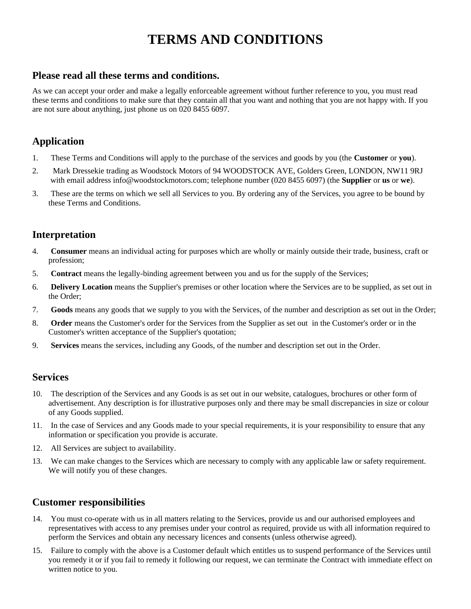# **TERMS AND CONDITIONS**

### **Please read all these terms and conditions.**

As we can accept your order and make a legally enforceable agreement without further reference to you, you must read these terms and conditions to make sure that they contain all that you want and nothing that you are not happy with. If you are not sure about anything, just phone us on 020 8455 6097.

# **Application**

- 1. These Terms and Conditions will apply to the purchase of the services and goods by you (the **Customer** or **you**).
- 2. Mark Dressekie trading as Woodstock Motors of 94 WOODSTOCK AVE, Golders Green, LONDON, NW11 9RJ with email address info@woodstockmotors.com; telephone number (020 8455 6097) (the **Supplier** or **us** or **we**).
- 3. These are the terms on which we sell all Services to you. By ordering any of the Services, you agree to be bound by these Terms and Conditions.

## **Interpretation**

- 4. **Consumer** means an individual acting for purposes which are wholly or mainly outside their trade, business, craft or profession;
- 5. **Contract** means the legally-binding agreement between you and us for the supply of the Services;
- 6. **Delivery Location** means the Supplier's premises or other location where the Services are to be supplied, as set out in the Order;
- 7. **Goods** means any goods that we supply to you with the Services, of the number and description as set out in the Order;
- 8. **Order** means the Customer's order for the Services from the Supplier as set out in the Customer's order or in the Customer's written acceptance of the Supplier's quotation;
- 9. **Services** means the services, including any Goods, of the number and description set out in the Order.

#### **Services**

- 10. The description of the Services and any Goods is as set out in our website, catalogues, brochures or other form of advertisement. Any description is for illustrative purposes only and there may be small discrepancies in size or colour of any Goods supplied.
- 11. In the case of Services and any Goods made to your special requirements, it is your responsibility to ensure that any information or specification you provide is accurate.
- 12. All Services are subject to availability.
- 13. We can make changes to the Services which are necessary to comply with any applicable law or safety requirement. We will notify you of these changes.

### **Customer responsibilities**

- 14. You must co-operate with us in all matters relating to the Services, provide us and our authorised employees and representatives with access to any premises under your control as required, provide us with all information required to perform the Services and obtain any necessary licences and consents (unless otherwise agreed).
- 15. Failure to comply with the above is a Customer default which entitles us to suspend performance of the Services until you remedy it or if you fail to remedy it following our request, we can terminate the Contract with immediate effect on written notice to you.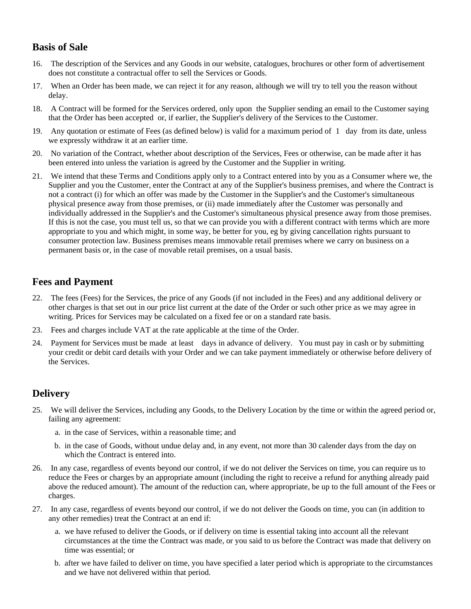# **Basis of Sale**

- 16. The description of the Services and any Goods in our website, catalogues, brochures or other form of advertisement does not constitute a contractual offer to sell the Services or Goods.
- 17. When an Order has been made, we can reject it for any reason, although we will try to tell you the reason without delay.
- 18. A Contract will be formed for the Services ordered, only upon the Supplier sending an email to the Customer saying that the Order has been accepted or, if earlier, the Supplier's delivery of the Services to the Customer.
- 19. Any quotation or estimate of Fees (as defined below) is valid for a maximum period of 1 day from its date, unless we expressly withdraw it at an earlier time.
- 20. No variation of the Contract, whether about description of the Services, Fees or otherwise, can be made after it has been entered into unless the variation is agreed by the Customer and the Supplier in writing.
- 21. We intend that these Terms and Conditions apply only to a Contract entered into by you as a Consumer where we, the Supplier and you the Customer, enter the Contract at any of the Supplier's business premises, and where the Contract is not a contract (i) for which an offer was made by the Customer in the Supplier's and the Customer's simultaneous physical presence away from those premises, or (ii) made immediately after the Customer was personally and individually addressed in the Supplier's and the Customer's simultaneous physical presence away from those premises. If this is not the case, you must tell us, so that we can provide you with a different contract with terms which are more appropriate to you and which might, in some way, be better for you, eg by giving cancellation rights pursuant to consumer protection law. Business premises means immovable retail premises where we carry on business on a permanent basis or, in the case of movable retail premises, on a usual basis.

### **Fees and Payment**

- 22. The fees (Fees) for the Services, the price of any Goods (if not included in the Fees) and any additional delivery or other charges is that set out in our price list current at the date of the Order or such other price as we may agree in writing. Prices for Services may be calculated on a fixed fee or on a standard rate basis.
- 23. Fees and charges include VAT at the rate applicable at the time of the Order.
- 24. Payment for Services must be made at least days in advance of delivery. You must pay in cash or by submitting your credit or debit card details with your Order and we can take payment immediately or otherwise before delivery of the Services.

### **Delivery**

- 25. We will deliver the Services, including any Goods, to the Delivery Location by the time or within the agreed period or, failing any agreement:
	- a. in the case of Services, within a reasonable time; and
	- b. in the case of Goods, without undue delay and, in any event, not more than 30 calender days from the day on which the Contract is entered into.
- 26. In any case, regardless of events beyond our control, if we do not deliver the Services on time, you can require us to reduce the Fees or charges by an appropriate amount (including the right to receive a refund for anything already paid above the reduced amount). The amount of the reduction can, where appropriate, be up to the full amount of the Fees or charges.
- 27. In any case, regardless of events beyond our control, if we do not deliver the Goods on time, you can (in addition to any other remedies) treat the Contract at an end if:
	- a. we have refused to deliver the Goods, or if delivery on time is essential taking into account all the relevant circumstances at the time the Contract was made, or you said to us before the Contract was made that delivery on time was essential; or
	- b. after we have failed to deliver on time, you have specified a later period which is appropriate to the circumstances and we have not delivered within that period.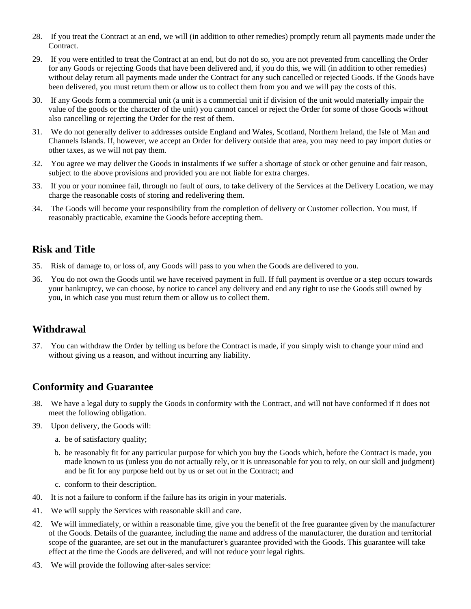- 28. If you treat the Contract at an end, we will (in addition to other remedies) promptly return all payments made under the Contract.
- 29. If you were entitled to treat the Contract at an end, but do not do so, you are not prevented from cancelling the Order for any Goods or rejecting Goods that have been delivered and, if you do this, we will (in addition to other remedies) without delay return all payments made under the Contract for any such cancelled or rejected Goods. If the Goods have been delivered, you must return them or allow us to collect them from you and we will pay the costs of this.
- 30. If any Goods form a commercial unit (a unit is a commercial unit if division of the unit would materially impair the value of the goods or the character of the unit) you cannot cancel or reject the Order for some of those Goods without also cancelling or rejecting the Order for the rest of them.
- 31. We do not generally deliver to addresses outside England and Wales, Scotland, Northern Ireland, the Isle of Man and Channels Islands. If, however, we accept an Order for delivery outside that area, you may need to pay import duties or other taxes, as we will not pay them.
- 32. You agree we may deliver the Goods in instalments if we suffer a shortage of stock or other genuine and fair reason, subject to the above provisions and provided you are not liable for extra charges.
- 33. If you or your nominee fail, through no fault of ours, to take delivery of the Services at the Delivery Location, we may charge the reasonable costs of storing and redelivering them.
- 34. The Goods will become your responsibility from the completion of delivery or Customer collection. You must, if reasonably practicable, examine the Goods before accepting them.

### **Risk and Title**

- 35. Risk of damage to, or loss of, any Goods will pass to you when the Goods are delivered to you.
- 36. You do not own the Goods until we have received payment in full. If full payment is overdue or a step occurs towards your bankruptcy, we can choose, by notice to cancel any delivery and end any right to use the Goods still owned by you, in which case you must return them or allow us to collect them.

## **Withdrawal**

37. You can withdraw the Order by telling us before the Contract is made, if you simply wish to change your mind and without giving us a reason, and without incurring any liability.

### **Conformity and Guarantee**

- 38. We have a legal duty to supply the Goods in conformity with the Contract, and will not have conformed if it does not meet the following obligation.
- 39. Upon delivery, the Goods will:
	- a. be of satisfactory quality;
	- b. be reasonably fit for any particular purpose for which you buy the Goods which, before the Contract is made, you made known to us (unless you do not actually rely, or it is unreasonable for you to rely, on our skill and judgment) and be fit for any purpose held out by us or set out in the Contract; and
	- c. conform to their description.
- 40. It is not a failure to conform if the failure has its origin in your materials.
- 41. We will supply the Services with reasonable skill and care.
- 42. We will immediately, or within a reasonable time, give you the benefit of the free guarantee given by the manufacturer of the Goods. Details of the guarantee, including the name and address of the manufacturer, the duration and territorial scope of the guarantee, are set out in the manufacturer's guarantee provided with the Goods. This guarantee will take effect at the time the Goods are delivered, and will not reduce your legal rights.
- 43. We will provide the following after-sales service: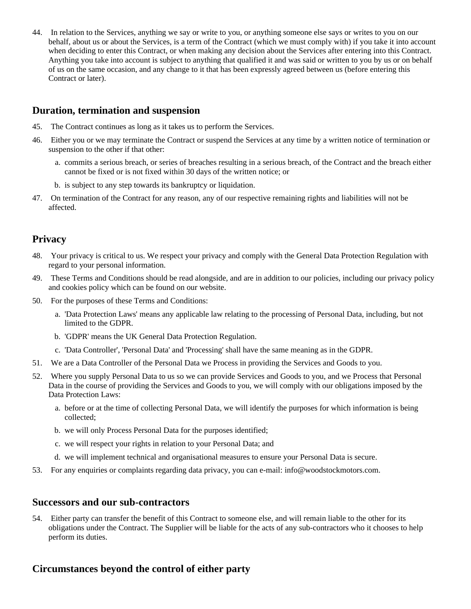44. In relation to the Services, anything we say or write to you, or anything someone else says or writes to you on our behalf, about us or about the Services, is a term of the Contract (which we must comply with) if you take it into account when deciding to enter this Contract, or when making any decision about the Services after entering into this Contract. Anything you take into account is subject to anything that qualified it and was said or written to you by us or on behalf of us on the same occasion, and any change to it that has been expressly agreed between us (before entering this Contract or later).

#### **Duration, termination and suspension**

- 45. The Contract continues as long as it takes us to perform the Services.
- 46. Either you or we may terminate the Contract or suspend the Services at any time by a written notice of termination or suspension to the other if that other:
	- a. commits a serious breach, or series of breaches resulting in a serious breach, of the Contract and the breach either cannot be fixed or is not fixed within 30 days of the written notice; or
	- b. is subject to any step towards its bankruptcy or liquidation.
- 47. On termination of the Contract for any reason, any of our respective remaining rights and liabilities will not be affected.

### **Privacy**

- 48. Your privacy is critical to us. We respect your privacy and comply with the General Data Protection Regulation with regard to your personal information.
- 49. These Terms and Conditions should be read alongside, and are in addition to our policies, including our privacy policy and cookies policy which can be found on our website.
- 50. For the purposes of these Terms and Conditions:
	- a. 'Data Protection Laws' means any applicable law relating to the processing of Personal Data, including, but not limited to the GDPR.
	- b. 'GDPR' means the UK General Data Protection Regulation.
	- c. 'Data Controller', 'Personal Data' and 'Processing' shall have the same meaning as in the GDPR.
- 51. We are a Data Controller of the Personal Data we Process in providing the Services and Goods to you.
- 52. Where you supply Personal Data to us so we can provide Services and Goods to you, and we Process that Personal Data in the course of providing the Services and Goods to you, we will comply with our obligations imposed by the Data Protection Laws:
	- a. before or at the time of collecting Personal Data, we will identify the purposes for which information is being collected;
	- b. we will only Process Personal Data for the purposes identified;
	- c. we will respect your rights in relation to your Personal Data; and
	- d. we will implement technical and organisational measures to ensure your Personal Data is secure.
- 53. For any enquiries or complaints regarding data privacy, you can e-mail: info@woodstockmotors.com.

#### **Successors and our sub-contractors**

54. Either party can transfer the benefit of this Contract to someone else, and will remain liable to the other for its obligations under the Contract. The Supplier will be liable for the acts of any sub-contractors who it chooses to help perform its duties.

### **Circumstances beyond the control of either party**